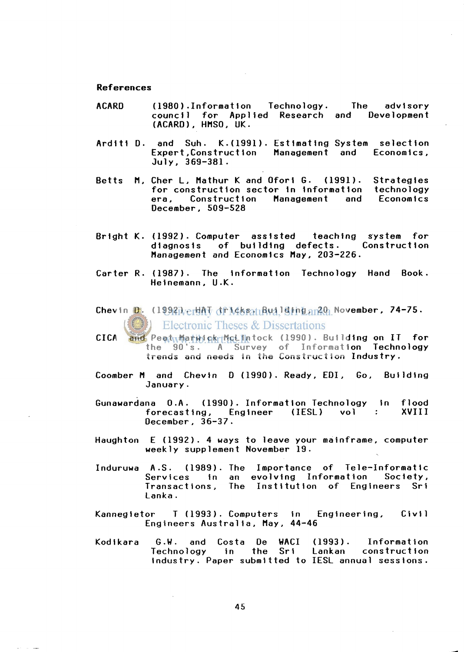## **References**

- ACARD (1980).Information Technology. The advisory council for Applied Research and Development (ACARD) , HMSO , UK .
- Arditi D. and Suh. K.(1991). Estimating System selection<br>Expert,Construction Management and Economics, Expert, Construction Management and Economics, July , 369-381 .
- Betts M, Cher L, Mathur K and Ofori G. (1991). Strategies for construction sector in information technology<br>era, Construction Management and Economics era, Construction December, 509-528
- Bright K. (1992). Computer assisted teaching system for diagnosis of building defects. Construction Management and Economics May, 203-226.
- Carter R. (1987). The information Technology Hand Book. Helnemann , U.K .
- Chevin D. (1992) vertht dr Mssau Building an 20 November, 74-75. Electronic Theses & Dissertations
- CICA and Peatumativick McLintock (1990). Building on IT for the 90's. A Survey of Information Technology trends and needs in the Construction Industry.
- Coomber M and Chevin D (1990). Ready, EDI, Go, Building January.
- Gunawardana O.A. (1990). Information Technology in flood<br>forecasting. Engineer (IESL) vol : XVIII forecasting, Engineer (IESL) vol : Oecember , 36-37 .
- Haughton  $E$  (1992). 4 ways to leave your mainframe, computer weekly supplement November 19.
- Induruwa A.S. (1989). The Importance of Tele-Informatic Services in an evolving Information Society, Transactions, The Institution of Engineers Sri Lanka.
- Kannegietor T (1993). Computers in Engineering, Civil Engineers Australia, May, 44-46
- Kodikara G.W. and Costa De WACI (1993). Information Technology in the Sri Lankan construction industry. Paper submitted to IESL annual sessions.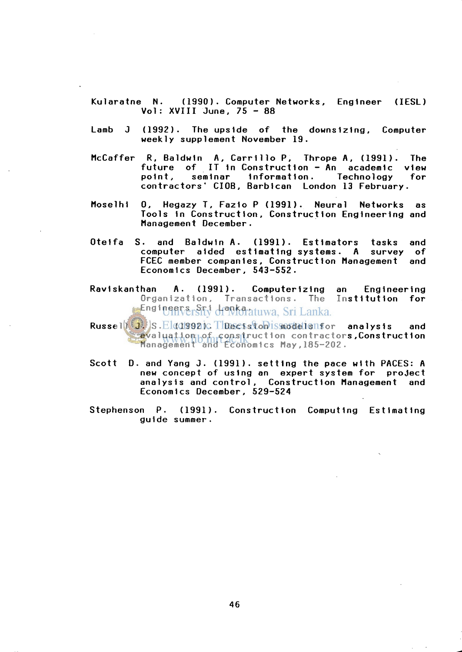- Kularatne N. (1990). Computer Networks, Engineer (IESL) Vol:  $XVIII$  June. 75 - 88
- Lamb J (1992). The upside of the downsizing, Computer weekly supplement November 19.
- McCaffer R, Baldwin A, Carrillo P, Thrope A, (1991). The future of IT in Construction - An academic view<br>point, seminar information. Technology for information. Technology contractors' CIOB, Barbican London 13 February.
- Moselhi 0, Hegazy T, Fazio P (1991). Neural Networks as Tools in Construction, Construction Engineering and Management December.
- Oteifa S. and Baldwin A. (1991). Estimators tasks and computer aided estimating systems. A survey of FCEC member companies, Construction Management and Economics December, 543-552.
- Raviskanthan A. (1991). Computerizing an Engineering Organization, Transactions. The Institution for Engineers Sri Lanka atuwa. Sri Lanka.
- Russell J. S. Elgasgazic Thectston is model shor analysis and evaluation of construction contractors, Construction management and Economics May,185-202.
- Scott D. and Yang J. (1991). setting the pace with PACES: A new concept of using an expert system for project analysis and control, Construction Management and Economics December, 529-524
- Stephenson P. (1991). Construction Computing Estimating guide summer.

46